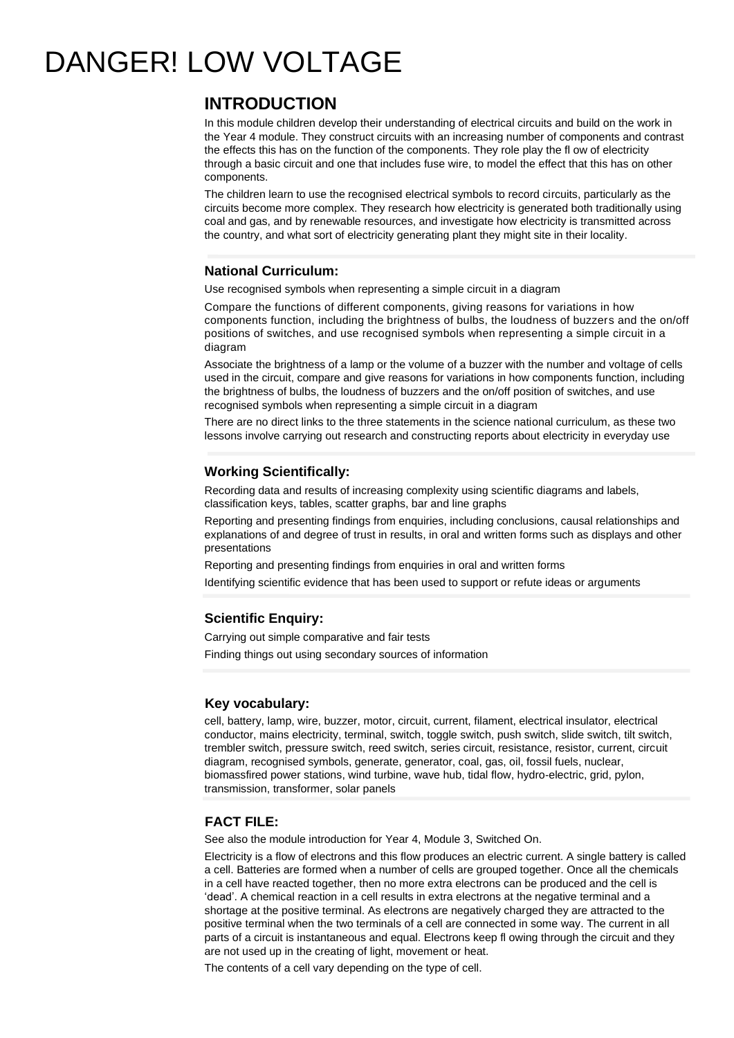# DANGER! LOW VOLTAGE

## **INTRODUCTION**

In this module children develop their understanding of electrical circuits and build on the work in the Year 4 module. They construct circuits with an increasing number of components and contrast the effects this has on the function of the components. They role play the fl ow of electricity through a basic circuit and one that includes fuse wire, to model the effect that this has on other components.

The children learn to use the recognised electrical symbols to record circuits, particularly as the circuits become more complex. They research how electricity is generated both traditionally using coal and gas, and by renewable resources, and investigate how electricity is transmitted across the country, and what sort of electricity generating plant they might site in their locality.

### **National Curriculum:**

Use recognised symbols when representing a simple circuit in a diagram

Compare the functions of different components, giving reasons for variations in how components function, including the brightness of bulbs, the loudness of buzzers and the on/off positions of switches, and use recognised symbols when representing a simple circuit in a diagram

Associate the brightness of a lamp or the volume of a buzzer with the number and voltage of cells used in the circuit, compare and give reasons for variations in how components function, including the brightness of bulbs, the loudness of buzzers and the on/off position of switches, and use recognised symbols when representing a simple circuit in a diagram

There are no direct links to the three statements in the science national curriculum, as these two lessons involve carrying out research and constructing reports about electricity in everyday use

### **Working Scientifically:**

Recording data and results of increasing complexity using scientific diagrams and labels, classification keys, tables, scatter graphs, bar and line graphs

Reporting and presenting findings from enquiries, including conclusions, causal relationships and explanations of and degree of trust in results, in oral and written forms such as displays and other presentations

Reporting and presenting findings from enquiries in oral and written forms

Identifying scientific evidence that has been used to support or refute ideas or arguments

### **Scientific Enquiry:**

Carrying out simple comparative and fair tests Finding things out using secondary sources of information

#### **Key vocabulary:**

cell, battery, lamp, wire, buzzer, motor, circuit, current, filament, electrical insulator, electrical conductor, mains electricity, terminal, switch, toggle switch, push switch, slide switch, tilt switch, trembler switch, pressure switch, reed switch, series circuit, resistance, resistor, current, circuit diagram, recognised symbols, generate, generator, coal, gas, oil, fossil fuels, nuclear, biomassfired power stations, wind turbine, wave hub, tidal flow, hydro-electric, grid, pylon, transmission, transformer, solar panels

#### **FACT FILE:**

See also the module introduction for Year 4, Module 3, Switched On.

Electricity is a flow of electrons and this flow produces an electric current. A single battery is called a cell. Batteries are formed when a number of cells are grouped together. Once all the chemicals in a cell have reacted together, then no more extra electrons can be produced and the cell is 'dead'. A chemical reaction in a cell results in extra electrons at the negative terminal and a shortage at the positive terminal. As electrons are negatively charged they are attracted to the positive terminal when the two terminals of a cell are connected in some way. The current in all parts of a circuit is instantaneous and equal. Electrons keep fl owing through the circuit and they are not used up in the creating of light, movement or heat.

The contents of a cell vary depending on the type of cell.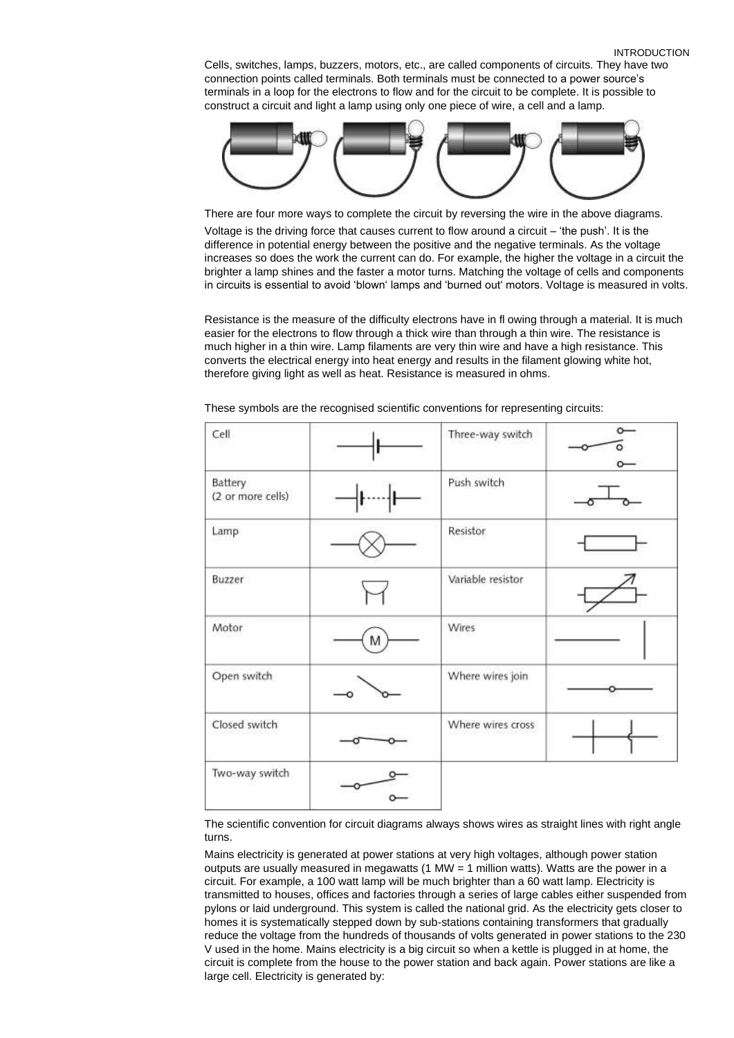Cells, switches, lamps, buzzers, motors, etc., are called components of circuits. They have two connection points called terminals. Both terminals must be connected to a power source's terminals in a loop for the electrons to flow and for the circuit to be complete. It is possible to construct a circuit and light a lamp using only one piece of wire, a cell and a lamp.



There are four more ways to complete the circuit by reversing the wire in the above diagrams. Voltage is the driving force that causes current to flow around a circuit – 'the push'. It is the difference in potential energy between the positive and the negative terminals. As the voltage increases so does the work the current can do. For example, the higher the voltage in a circuit the brighter a lamp shines and the faster a motor turns. Matching the voltage of cells and components in circuits is essential to avoid 'blown' lamps and 'burned out' motors. Voltage is measured in volts.

Resistance is the measure of the difficulty electrons have in fl owing through a material. It is much easier for the electrons to flow through a thick wire than through a thin wire. The resistance is much higher in a thin wire. Lamp filaments are very thin wire and have a high resistance. This converts the electrical energy into heat energy and results in the filament glowing white hot, therefore giving light as well as heat. Resistance is measured in ohms.

| Cell                         |   | Three-way switch  |  |
|------------------------------|---|-------------------|--|
| Battery<br>(2 or more cells) |   | Push switch       |  |
| Lamp                         |   | Resistor          |  |
| Buzzer                       |   | Variable resistor |  |
| Motor                        | M | Wires             |  |
| Open switch                  |   | Where wires join  |  |
| Closed switch                |   | Where wires cross |  |
| Two-way switch               |   |                   |  |

These symbols are the recognised scientific conventions for representing circuits:

The scientific convention for circuit diagrams always shows wires as straight lines with right angle turns.

Mains electricity is generated at power stations at very high voltages, although power station outputs are usually measured in megawatts (1 MW = 1 million watts). Watts are the power in a circuit. For example, a 100 watt lamp will be much brighter than a 60 watt lamp. Electricity is transmitted to houses, offices and factories through a series of large cables either suspended from pylons or laid underground. This system is called the national grid. As the electricity gets closer to homes it is systematically stepped down by sub-stations containing transformers that gradually reduce the voltage from the hundreds of thousands of volts generated in power stations to the 230 V used in the home. Mains electricity is a big circuit so when a kettle is plugged in at home, the circuit is complete from the house to the power station and back again. Power stations are like a large cell. Electricity is generated by: